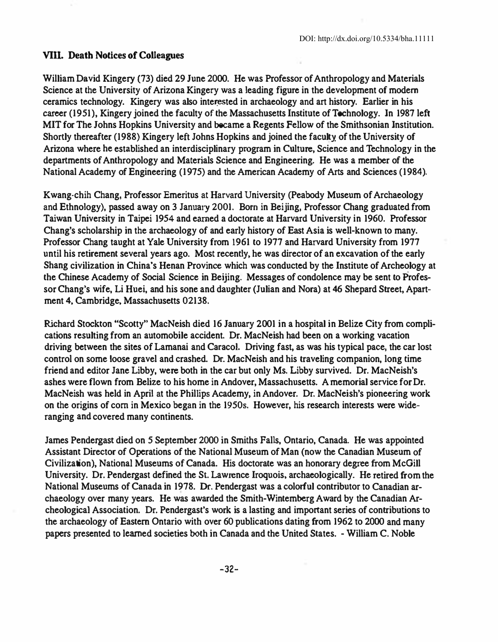### VIII. Death Notices of Colleagues

William David Kingery (73) died 29 June 2000. He was Professor of Anthropology and Materials Science at the University of Arizona Kingery was a leading figure in the development of modern ceramics technology. Kingery was also interested in archaeology and art history. Earlier in his career (1951), Kingery joined the faculty of the Massachusetts Institute of Technology. In 1987 left MIT for The Johns Hopkins University and became a Regents Fellow of the Smithsonian Institution. Shortly thereafter (1988) Kingery left Johns Hopkins and joined the faculty. of the University of Arizona where he established an interdisciplinary program in Cnlture, Science and Technology in the departments of Anthropology and Materials Science and Engineering. He was a member of the National Academy of Engineering (1975) and the American Academy of Arts and Sciences (1984).

Kwang-chih Chang, Professor Emeritus at Harvard University (Peabody Museum of Archaeology and Ethnology), passed away on 3 January 2001. Born in Beijing, Professor Chang graduated from Taiwan University in Taipei 1954 and earned a doctorate at Harvard University in 1960. Professor Chang's scholarship in the archaeology of and early history of East Asia is well-known to many. Professor Chang taught at Yale University from 1961 to 1977 and Harvard University from 1977 until his retirement several years ago. Most recently. he was director of an excavation of the early Shang civilization in China"s Henan Province which was conducted by the Institute of Archeology at the Chinese Academy of Social Science in Beijing. Messages of condolence may be sent to Professor Chang's wife, Li Huei, and his sone and daughter (Julian and Nora) at 46 Shepard Street, Apartment 4, Cambridge, Massachusetts 02138.

Richard Stockton "Scotty" MacNeish died 16 January 2001 in a hospital in Belize City from complications resulting from an automobile accident. Dr. MacNeish had been on a working vacation driving between the sites of Lamanai and Caracol. Driving fast, as was his typical pace, the car lost control on some loose gravel and crashed. Dr. MacNeish and his lraveling companion, long time friend and editor Jane Libby, were both in the car but only Ms. Libby survived. Dr. MacNeish's ashes were flown from Belize to his home in Andover, Massachusetts. A memorial service for Dr. MacNeish was held in April at the Phillips Academy, in Andover. Dr. MacNeish's pioneering work on the origins of corn in Mexico began in the 1950s. However, his research interests were wideranging and covered many continents.

James Pendergast died on 5 September 2000 in Smiths Falls, Ontario, Canada. He was appointed Assistant Director of Operations of the National Museum of Man (now the Canadian Museum of Civilization), National Museums of Canada. His doctorate was an honorary degree from McGill University. Dr. Pendergast defined the SL Lawrence Iroquois, archaeologically. He retired from the National Museums of Canada in 1978. Dr. Pendergast was a colorful contributor to Canadian archaeology over many years. He was awarded the Smith-Wintemberg Award by the Canadian Archeological Association. Dr. Pendergast's work is a lasting and important series of contributions to the archaeology of Eastern Ontario with over 60 publications dating from 1962 to 2000 and many papers presented to learned societies both in Canada and the United States. - William C. Noble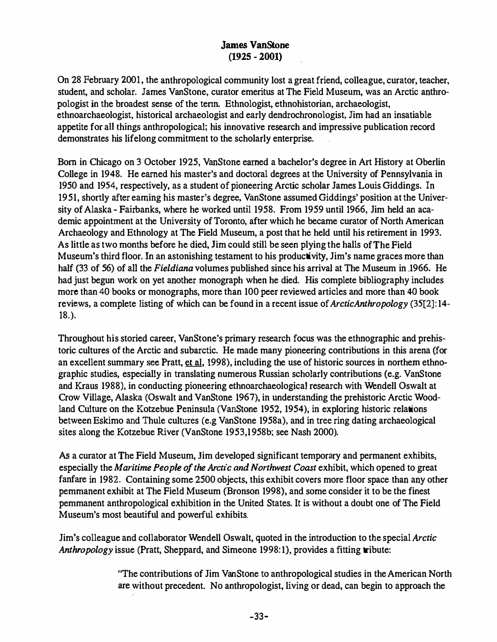# James VanStone (1925 - 2001)

On 28 February 2001, the anthropological community lost a great friend, colleague, curator, teacher, student, and scholar. James VanStone, curator emeritus at The Field Museum, was an Arctic anthropologist in the broadest sense of the tenn. Ethnologist, ethnohistorian, archaeologist, ethnoarchaeologist, historical archaeologist and early dendrochronologist. Jim had an insatiable appetite for all things anthropological; his innovative research and impressive publication record demonstrates his lifelong commitment to the scholarly enterprise.

Born in Chicago on 3 October 1925, VanStone earned a bachelor's degree in Art History at Oberlin College in 1948. He earned his master's and doctoral degrees at the University of Pennsylvania in 1950 and 1954, respectively, as a student of pioneering Arctic scholar James Louis Giddings. In 1951, shortly after earning his master's degree. VanStone assumed Giddings' position at the University of Alaska - Fairbanks, where he worked until 1958. From 1959 until 1966, Jim held an academic appointment at the University of Toronto, after which he became curator of North American Archaeology and Ethnology at The Field Museum, a post that he held until his retirement in 1993. As little as two months before he died, Jim could still be seen plying the halls of The Field Museum's third floor. In an astonishing testament to his productivity, Jim's name graces more than half (33 of 56) of all the Fieldiana volumes published since his arrival at The Museum in 1966. He had just begun work on yet another monograph when he died. His complete bibliography includes more than 40 books or monographs, more than 100 peer reviewed articles and more than 40 book reviews, a complete listing of which can be found in a recent issue of *ArcticAnthropology* (35[2]:14-18.).

Throughout his storied career, VanStone's primary research focus was the ethnographic and prehistoric cultures of the Arctic and subarctic. He made many pioneering contributions in this arena (for an excellent summary see Pratt, et al. 1998), including the use of historic sources in northern ethnographic studies, especially in translating numerous Russian scholarly contributions (e.g. VanStone and Kraus 1988), in conducting pioneering ethnoarchaeologicaJ research with Wendell Oswalt at Crow Village, Alaska (Oswalt and VanStone 1967), in understanding the prehistoric Arctic Woodland Culture on the Kotzebue Peninsula (VanStone 1952, 1954), in exploring historic relations between Eskimo and Thule cultures (e.g VanStone 1958a), and in tree ring dating archaeological sites along the Kotzebue River (VanStone 1953,1958b; see Nash 2000).

As a curator at The Field Museum, Jim developed significant temporary and permanent exhibits, especially the Maritime People of the Arctic and Northwest Coast exhibit, which opened to great fanfare in 1982. Containing some 2500 objects, this exhibit covers more floor space than any other pemmanent exhibit at The Field Museum (Bronson 1998), and some consider it to be the finest pemmanent anthropological exhibition in the United States. It is without a doubt one of The Field Museum's most beautiful and powerful exhibits.

Jim's colleague and collaborator Wendell Oswait, quoted in the introduction to the special Arctic Anthropology issue (Pratt, Sheppard, and Simeone 1998:1), provides a fitting tribute:

> "The contributions of Jim VanStone to anthropological studies in the American North are without precedent. No anthropologist, living or dead, can begin to approach the